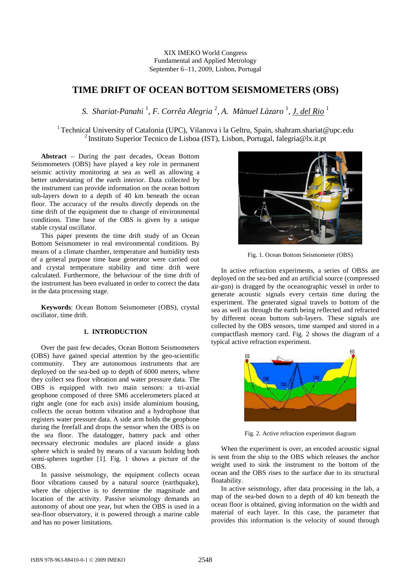## XIX IMEKO World Congress Fundamental and Applied Metrology September 6-11, 2009, Lisbon, Portugal

# **TIME DRIFT OF OCEAN BOTTOM SEISMOMETERS (OBS)**

S. Shariat-Panahi <sup>1</sup>, F. Corrêa Alegria <sup>2</sup>, A. Mànuel Làzaro <sup>1</sup>, <u>J. del Rio</u> <sup>1</sup>

<sup>1</sup> Technical University of Catalonia (UPC), Vilanova i la Geltru, Spain, shahram.shariat@upc.edu <sup>2</sup> Instituto Superior Tecnico de Lisboa (IST), Lisbon, Portugal, falegria@lx.it.pt

Abstract - During the past decades, Ocean Bottom Seismometers (OBS) have played a key role in permanent seismic activity monitoring at sea as well as allowing a better understating of the earth interior. Data collected by the instrument can provide information on the ocean bottom sub-layers down to a depth of 40 km beneath the ocean floor. The accuracy of the results directly depends on the time drift of the equipment due to change of environmental conditions. Time base of the OBS is given by a unique stable crystal oscillator.

This paper presents the time drift study of an Ocean Bottom Seismometer in real environmental conditions. By means of a climate chamber, temperature and humidity tests of a general purpose time base generator were carried out and crystal temperature stability and time drift were calculated. Furthermore, the behaviour of the time drift of the instrument has been evaluated in order to correct the data in the data processing stage.

**Keywords**: Ocean Bottom Seismometer (OBS), crystal oscillator, time drift.

# **1. INTRODUCTION**

Over the past few decades, Ocean Bottom Seismometers (OBS) have gained special attention by the geo-scientific community. They are autonomous instruments that are deployed on the sea-bed up to depth of 6000 meters, where they collect sea floor vibration and water pressure data. The OBS is equipped with two main sensors: a tri-axial geophone composed of three SM6 accelerometers placed at right angle (one for each axis) inside aluminium housing, collects the ocean bottom vibration and a hydrophone that registers water pressure data. A side arm holds the geophone during the freefall and drops the sensor when the OBS is on the sea floor. The datalogger, battery pack and other necessary electronic modules are placed inside a glass sphere which is sealed by means of a vacuum holding both semi-spheres together [1]. Fig. 1 shows a picture of the OBS.

In passive seismology, the equipment collects ocean floor vibrations caused by a natural source (earthquake), where the objective is to determine the magnitude and location of the activity. Passive seismology demands an autonomy of about one year, but when the OBS is used in a sea-floor observatory, it is powered through a marine cable and has no power limitations.



Fig. 1. Ocean Bottom Seismometer (OBS)

In active refraction experiments, a series of OBSs are deployed on the sea-bed and an artificial source (compressed air-gun) is dragged by the oceanographic vessel in order to generate acoustic signals every certain time during the experiment. The generated signal travels to bottom of the sea as well as through the earth being reflected and refracted by different ocean bottom sub-layers. These signals are collected by the OBS sensors, time stamped and stored in a compactflash memory card. Fig. 2 shows the diagram of a typical active refraction experiment.



Fig. 2. Active refraction experiment diagram

When the experiment is over, an encoded acoustic signal is sent from the ship to the OBS which releases the anchor weight used to sink the instrument to the bottom of the ocean and the OBS rises to the surface due to its structural floatability.

In active seismology, after data processing in the lab, a map of the sea-bed down to a depth of 40 km beneath the ocean floor is obtained, giving information on the width and material of each layer. In this case, the parameter that provides this information is the velocity of sound through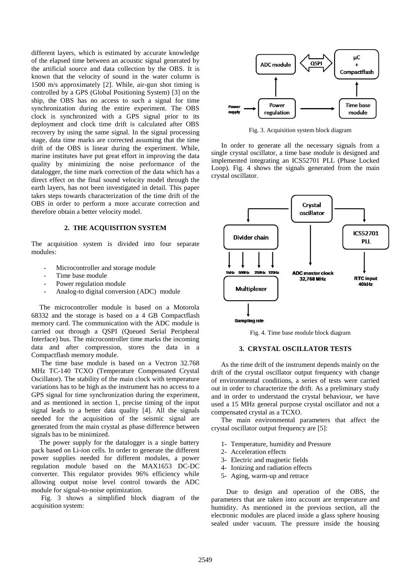different layers, which is estimated by accurate knowledge of the elapsed time between an acoustic signal generated by the artificial source and data collection by the OBS. It is known that the velocity of sound in the water column is 1500 m/s approximately [2]. While, air-gun shot timing is controlled by a GPS (Global Positioning System) [3] on the ship, the OBS has no access to such a signal for time synchronization during the entire experiment. The OBS clock is synchronized with a GPS signal prior to its deployment and clock time drift is calculated after OBS recovery by using the same signal. In the signal processing stage, data time marks are corrected assuming that the time drift of the OBS is linear during the experiment. While, marine institutes have put great effort in improving the data quality by minimizing the noise performance of the datalogger, the time mark correction of the data which has a direct effect on the final sound velocity model through the earth layers, has not been investigated in detail. This paper takes steps towards characterization of the time drift of the OBS in order to perform a more accurate correction and therefore obtain a better velocity model.

### **2. THE ACQUISITION SYSTEM**

The acquisition system is divided into four separate modules:

- Microcontroller and storage module
- Time base module
- Power regulation module
- Analog-to digital conversion (ADC) module

The microcontroller module is based on a Motorola 68332 and the storage is based on a 4 GB Compactflash memory card. The communication with the ADC module is carried out through a QSPI (Queued Serial Peripheral Interface) bus. The microcontroller time marks the incoming data and after compression, stores the data in a Compactflash memory module.

The time base module is based on a Vectron 32.768 MHz TC-140 TCXO (Temperature Compensated Crystal Oscillator). The stability of the main clock with temperature variations has to be high as the instrument has no access to a GPS signal for time synchronization during the experiment, and as mentioned in section 1, precise timing of the input signal leads to a better data quality [4]. All the signals needed for the acquisition of the seismic signal are generated from the main crystal as phase difference between signals has to be minimized.

The power supply for the datalogger is a single battery pack based on Li-ion cells. In order to generate the different power supplies needed for different modules, a power regulation module based on the MAX1653 DC-DC converter. This regulator provides 96% efficiency while allowing output noise level control towards the ADC module for signal-to-noise optimization.

Fig. 3 shows a simplified block diagram of the acquisition system:



Fig. 3. Acquisition system block diagram

In order to generate all the necessary signals from a single crystal oscillator, a time base module is designed and implemented integrating an ICS52701 PLL (Phase Locked Loop). Fig. 4 shows the signals generated from the main crystal oscillator.



Fig. 4. Time base module block diagram

#### **3. CRYSTAL OSCILLATOR TESTS**

As the time drift of the instrument depends mainly on the drift of the crystal oscillator output frequency with change of environmental conditions, a series of tests were carried out in order to characterize the drift. As a preliminary study and in order to understand the crystal behaviour, we have used a 15 MHz general purpose crystal oscillator and not a compensated crystal as a TCXO.

The main environmental parameters that affect the crystal oscillator output frequency are [5]:

- 1- Temperature, humidity and Pressure
- 2- Acceleration effects
- 3- Electric and magnetic fields
- 4- Ionizing and radiation effects
- 5- Aging, warm-up and retrace

 Due to design and operation of the OBS, the parameters that are taken into account are temperature and humidity. As mentioned in the previous section, all the electronic modules are placed inside a glass sphere housing sealed under vacuum. The pressure inside the housing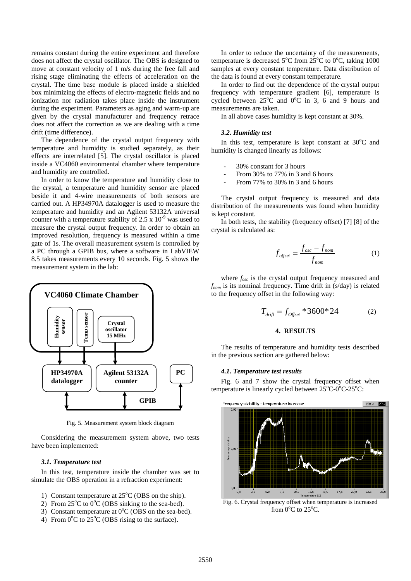remains constant during the entire experiment and therefore does not affect the crystal oscillator. The OBS is designed to move at constant velocity of 1 m/s during the free fall and rising stage eliminating the effects of acceleration on the crystal. The time base module is placed inside a shielded box minimizing the effects of electro-magnetic fields and no ionization nor radiation takes place inside the instrument during the experiment. Parameters as aging and warm-up are given by the crystal manufacturer and frequency retrace does not affect the correction as we are dealing with a time drift (time difference).

The dependence of the crystal output frequency with temperature and humidity is studied separately, as their effects are interrelated [5]. The crystal oscillator is placed inside a VC4060 environmental chamber where temperature and humidity are controlled.

In order to know the temperature and humidity close to the crystal, a temperature and humidity sensor are placed beside it and 4-wire measurements of both sensors are carried out. A HP34970A datalogger is used to measure the temperature and humidity and an Agilent 53132A universal counter with a temperature stability of 2.5 x  $10^{-9}$  was used to measure the crystal output frequency. In order to obtain an improved resolution, frequency is measured within a time gate of 1s. The overall measurement system is controlled by a PC through a GPIB bus, where a software in LabVIEW 8.5 takes measurements every 10 seconds. Fig. 5 shows the measurement system in the lab:



Fig. 5. Measurement system block diagram

Considering the measurement system above, two tests have been implemented:

#### *3.1. Temperature test*

In this test, temperature inside the chamber was set to simulate the OBS operation in a refraction experiment:

- 1) Constant temperature at  $25^{\circ}$ C (OBS on the ship).
- 2) From  $25^{\circ}$ C to  $0^{\circ}$ C (OBS sinking to the sea-bed).
- 3) Constant temperature at  $0^{\circ}$ C (OBS on the sea-bed).
- 4) From  $0^{\circ}$ C to  $25^{\circ}$ C (OBS rising to the surface).

In order to reduce the uncertainty of the measurements, temperature is decreased  $5^{\circ}$ C from  $25^{\circ}$ C to  $0^{\circ}$ C, taking 1000 samples at every constant temperature. Data distribution of the data is found at every constant temperature.

In order to find out the dependence of the crystal output frequency with temperature gradient [6], temperature is cycled between  $25^{\circ}$ C and  $0^{\circ}$ C in 3, 6 and 9 hours and measurements are taken.

In all above cases humidity is kept constant at 30%.

#### *3.2. Humidity test*

In this test, temperature is kept constant at  $30^{\circ}$ C and humidity is changed linearly as follows:

- 30% constant for 3 hours
- From 30% to 77% in 3 and 6 hours
- From 77% to 30% in 3 and 6 hours

The crystal output frequency is measured and data distribution of the measurements was found when humidity is kept constant.

In both tests, the stability (frequency offset) [7] [8] of the crystal is calculated as:

$$
f_{offset} = \frac{f_{osc} - f_{nom}}{f_{nom}}
$$
 (1)

where *fosc* is the crystal output frequency measured and *fnom* is its nominal frequency. Time drift in (s/day) is related to the frequency offset in the following way:

$$
T_{drift} = f_{\text{Offset}} * 3600 * 24 \tag{2}
$$

## **4. RESULTS**

The results of temperature and humidity tests described in the previous section are gathered below:

#### *4.1. Temperature test results*

Fig. 6 and 7 show the crystal frequency offset when temperature is linearly cycled between  $25^{\circ}$ C-0 $^{\circ}$ C-25 $^{\circ}$ C:



Fig. 6. Crystal frequency offset when temperature is increased from  $0^{\circ}$ C to 25 $^{\circ}$ C.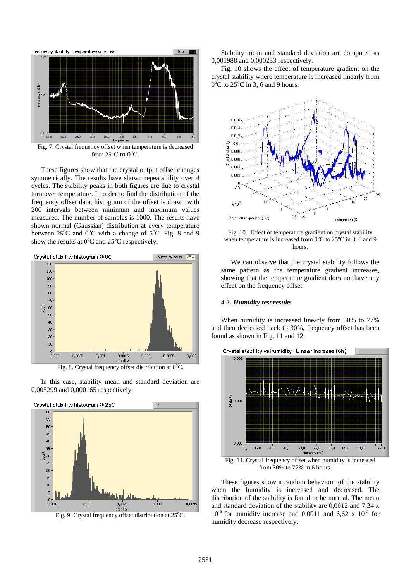

Fig. 7. Crystal frequency offset when temperature is decreased from  $25^{\circ}$ C to  $0^{\circ}$ C.

These figures show that the crystal output offset changes symmetrically. The results have shown repeatability over 4 cycles. The stability peaks in both figures are due to crystal turn over temperature. In order to find the distribution of the frequency offset data, histogram of the offset is drawn with 200 intervals between minimum and maximum values measured. The number of samples is 1000. The results have shown normal (Gaussian) distribution at every temperature between  $25^{\circ}$ C and  $0^{\circ}$ C with a change of  $5^{\circ}$ C. Fig. 8 and 9 show the results at  $0^{\circ}$ C and  $25^{\circ}$ C respectively.



Fig. 8. Crystal frequency offset distribution at 0°C.

In this case, stability mean and standard deviation are 0,005299 and 0,000165 respectively.





Stability mean and standard deviation are computed as 0,001988 and 0,000233 respectively.

Fig. 10 shows the effect of temperature gradient on the crystal stability where temperature is increased linearly from  $0^{\circ}$ C to 25 $^{\circ}$ C in 3, 6 and 9 hours.



Fig. 10. Effect of temperature gradient on crystal stability when temperature is increased from  $0^{\circ}$ C to  $25^{\circ}$ C in 3, 6 and 9 hours.

We can observe that the crystal stability follows the same pattern as the temperature gradient increases, showing that the temperature gradient does not have any effect on the frequency offset.

### *4.2. Humidity test results*

When humidity is increased linearly from 30% to 77% and then decreased back to 30%, frequency offset has been found as shown in Fig. 11 and 12:



Fig. 11. Crystal frequency offset when humidity is increased from 30% to 77% in 6 hours.

These figures show a random behaviour of the stability when the humidity is increased and decreased. The distribution of the stability is found to be normal. The mean and standard deviation of the stability are 0,0012 and 7,34 x  $10^{-5}$  for humidity increase and 0,0011 and 6,62 x  $10^{-5}$  for humidity decrease respectively.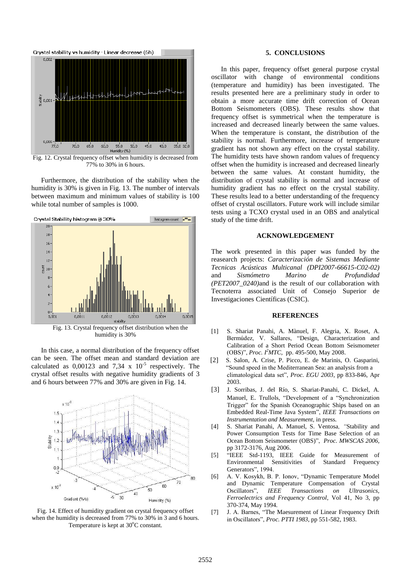

Fig. 12. Crystal frequency offset when humidity is decreased from 77% to 30% in 6 hours.

Furthermore, the distribution of the stability when the humidity is 30% is given in Fig. 13. The number of intervals between maximum and minimum values of stability is 100 while total number of samples is 1000.



In this case, a normal distribution of the frequency offset can be seen. The offset mean and standard deviation are calculated as  $0,00123$  and  $7,34 \times 10^{-5}$  respectively. The crystal offset results with negative humidity gradients of 3 and 6 hours between 77% and 30% are given in Fig. 14.



Fig. 14. Effect of humidity gradient on crystal frequency offset when the humidity is decreased from 77% to 30% in 3 and 6 hours. Temperature is kept at  $30^{\circ}$ C constant.

## **5. CONCLUSIONS**

In this paper, frequency offset general purpose crystal oscillator with change of environmental conditions (temperature and humidity) has been investigated. The results presented here are a preliminary study in order to obtain a more accurate time drift correction of Ocean Bottom Seismometers (OBS). These results show that frequency offset is symmetrical when the temperature is increased and decreased linearly between the same values. When the temperature is constant, the distribution of the stability is normal. Furthermore, increase of temperature gradient has not shown any effect on the crystal stability. The humidity tests have shown random values of frequency offset when the humidity is increased and decreased linearly between the same values. At constant humidity, the distribution of crystal stability is normal and increase of humidity gradient has no effect on the crystal stability. These results lead to a better understanding of the frequency offset of crystal oscillators. Future work will include similar tests using a TCXO crystal used in an OBS and analytical study of the time drift.

#### **ACKNOWLEDGEMENT**

The work presented in this paper was funded by the reasearch projects: *Caracterización de Sistemas Mediante Tecnicas Acústicas Multicanal (DPI2007-66615-C02-02)* and *Sismómetro Marino de Profundidad (PET2007\_0240)*and is the result of our collaboration with Tecnoterra associated Unit of Consejo Superior de Investigaciones Científicas (CSIC).

## **REFERENCES**

- [1] S. Shariat Panahi, A. Mànuel, F. Alegria, X. Roset, A. Bermúdez, V. Sallares, "Design, Characterization and Calibration of a Short Period Ocean Bottom Seismometer (OBS)", *Proc. I <sup>2</sup>MTC,* pp. 495-500, May 2008.
- [2] S. Salon, A. Crise, P. Picco, E. de Marinis, O. Gasparini, "Sound speed in the Mediterranean Sea: an analysis from a climatological data set", *Proc. EGU 2003,* pp 833-846, Apr 2003.
- [3] J. Sorribas, J. del Río, S. Shariat-Panahi, C. Dickel, A. Manuel, E. Trullols, "Development of a "Synchronization Trigger" for the Spanish Oceanographic Ships based on an Embedded Real-Time Java System", *IEEE Transactions on Instrumentation and Measurement,* in press.
- [4] S. Shariat Panahi, A. Manuel, S. Ventosa*, "*Stability and Power Consumption Tests for Time Base Selection of an Ocean Bottom Seismometer (OBS)", *Proc. MWSCAS 2006,* pp 3172-3176, Aug 2006.
- [5] "IEEE Std-1193, IEEE Guide for Measurement of Environmental Sensitivities of Standard Frequency Generators", 1994.
- [6] A. V. Kosykh, B. P. Ionov, "Dynamic Temperature Model and Dynamic Temperature Compensation of Crystal Oscillators", *IEEE Transactions on Ultrasonics, Ferroelectrics and Frequency Control,* Vol 41, No 3, pp 370-374, May 1994.
- [7] J. A. Barnes, "The Maesurement of Linear Frequency Drift in Oscillators", *Proc. PTTI 1983,* pp 551-582, 1983.